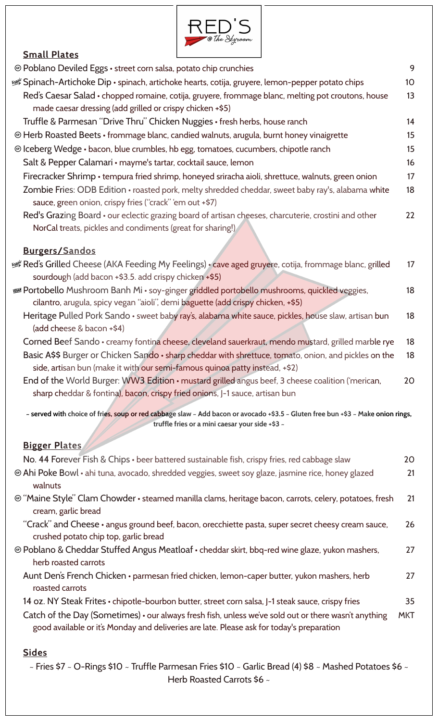

## **Small Plates**

| <b> © Poblano Deviled Eggs • street corn salsa, potato chip crunchies</b>                                                                                                                         | 9          |
|---------------------------------------------------------------------------------------------------------------------------------------------------------------------------------------------------|------------|
| Spinach-Artichoke Dip • spinach, artichoke hearts, cotija, gruyere, lemon-pepper potato chips ﷺ                                                                                                   | 10         |
| Red's Caesar Salad • chopped romaine, cotija, gruyere, frommage blanc, melting pot croutons, house                                                                                                | 13         |
| made caesar dressing (add grilled or crispy chicken +\$5)                                                                                                                                         |            |
| Truffle & Parmesan "Drive Thru" Chicken Nuggies • fresh herbs, house ranch                                                                                                                        | 14         |
| @ Herb Roasted Beets • frommage blanc, candied walnuts, arugula, burnt honey vinaigrette                                                                                                          | 15         |
| © Iceberg Wedge • bacon, blue crumbles, hb egg, tomatoes, cucumbers, chipotle ranch                                                                                                               | 15         |
| Salt & Pepper Calamari • mayme's tartar, cocktail sauce, lemon                                                                                                                                    | 16         |
| Firecracker Shrimp • tempura fried shrimp, honeyed sriracha aioli, shrettuce, walnuts, green onion                                                                                                | 17         |
| Zombie Fries: ODB Edition • roasted pork, melty shredded cheddar, sweet baby ray's, alabama white<br>sauce, green onion, crispy fries ("crack" 'em out +\$7)                                      | 18         |
| Red's Grazing Board • our eclectic grazing board of artisan cheeses, charcuterie, crostini and other                                                                                              | 22         |
| NorCal treats, pickles and condiments (great for sharing!)                                                                                                                                        |            |
| <b>Burgers/Sandos</b>                                                                                                                                                                             |            |
| Red's Grilled Cheese (AKA Feeding My Feelings) • cave aged gruyere, cotija, frommage blanc, grilled للجولا                                                                                        | 17         |
| sourdough (add bacon +\$3.5. add crispy chicken +\$5)                                                                                                                                             |            |
| <b>Example 19 Fortobello</b> Mushroom Banh Mi · soy-ginger griddled portobello mushrooms, quickled veggies,                                                                                       | 18         |
| cilantro, arugula, spicy vegan "aioli", demi baguette (add crispy chicken, +\$5)                                                                                                                  |            |
| Heritage Pulled Pork Sando · sweet baby ray's, alabama white sauce, pickles, house slaw, artisan bun                                                                                              | 18         |
| (add cheese & bacon +\$4)                                                                                                                                                                         |            |
| Corned Beef Sando • creamy fontina cheese, cleveland sauerkraut, mendo mustard, grilled marble rye                                                                                                | 18         |
| Basic A\$\$ Burger or Chicken Sando · sharp cheddar with shrettuce, tomato, onion, and pickles on the<br>side, artisan bun (make it with our semi-famous quinoa patty instead, +\$2)              | 18         |
| End of the World Burger: WW3 Edition • mustard grilled angus beef, 3 cheese coalition ('merican,                                                                                                  | 20         |
| sharp cheddar & fontina), bacon, crispy fried onions, J-1 sauce, artisan bun                                                                                                                      |            |
| - served with choice of fries, soup or red cabbage slaw - Add bacon or avocado +\$3.5 - Gluten free bun +\$3 - Make onion rings,<br>truffle fries or a mini caesar your side +\$3 ~               |            |
|                                                                                                                                                                                                   |            |
| <b>Bigger Plates</b><br>No. 44 Forever Fish & Chips · beer battered sustainable fish, crispy fries, red cabbage slaw                                                                              | 20         |
|                                                                                                                                                                                                   | 21         |
| <b>Ahi Poke Bowl</b> • ahi tuna, avocado, shredded veggies, sweet soy glaze, jasmine rice, honey glazed<br>walnuts                                                                                |            |
| @ "Maine Style" Clam Chowder • steamed manilla clams, heritage bacon, carrots, celery, potatoes, fresh                                                                                            | 21         |
| cream, garlic bread                                                                                                                                                                               |            |
| "Crack" and Cheese · angus ground beef, bacon, orecchiette pasta, super secret cheesy cream sauce,<br>crushed potato chip top, garlic bread                                                       | 26         |
| <b> © Poblano &amp; Cheddar Stuffed Angus Meatloaf • cheddar skirt, bbq-red wine glaze, yukon mashers,</b>                                                                                        | 27         |
| herb roasted carrots                                                                                                                                                                              |            |
| Aunt Den's French Chicken • parmesan fried chicken, lemon-caper butter, yukon mashers, herb<br>roasted carrots                                                                                    | 27         |
| 14 oz. NY Steak Frites • chipotle-bourbon butter, street corn salsa, J-1 steak sauce, crispy fries                                                                                                | 35         |
| Catch of the Day (Sometimes) • our always fresh fish, unless we've sold out or there wasn't anything<br>good available or it's Monday and deliveries are late. Please ask for today's preparation | <b>MKT</b> |
|                                                                                                                                                                                                   |            |
| <b>Sides</b>                                                                                                                                                                                      |            |

 $\sim$  Fries \$7  $\sim$  O-Rings \$10  $\sim$  Truffle Parmesan Fries \$10  $\sim$  Garlic Bread (4) \$8  $\sim$  Mashed Potatoes \$6  $\sim$ Herb Roasted Carrots \$6 ~